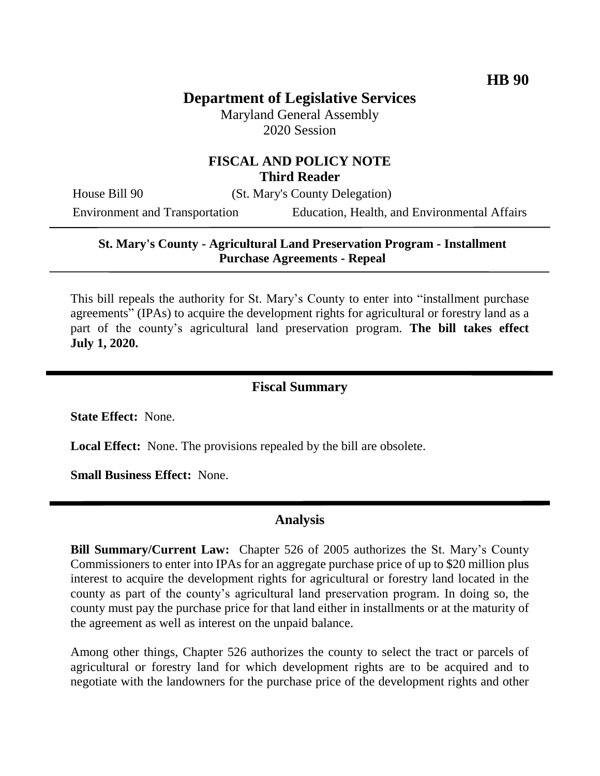# **Department of Legislative Services**

Maryland General Assembly 2020 Session

### **FISCAL AND POLICY NOTE Third Reader**

House Bill 90 (St. Mary's County Delegation)

Environment and Transportation Education, Health, and Environmental Affairs

#### **St. Mary's County - Agricultural Land Preservation Program - Installment Purchase Agreements - Repeal**

This bill repeals the authority for St. Mary's County to enter into "installment purchase agreements" (IPAs) to acquire the development rights for agricultural or forestry land as a part of the county's agricultural land preservation program. **The bill takes effect July 1, 2020.**

### **Fiscal Summary**

**State Effect:** None.

**Local Effect:** None. The provisions repealed by the bill are obsolete.

**Small Business Effect:** None.

### **Analysis**

**Bill Summary/Current Law:** Chapter 526 of 2005 authorizes the St. Mary's County Commissioners to enter into IPAs for an aggregate purchase price of up to \$20 million plus interest to acquire the development rights for agricultural or forestry land located in the county as part of the county's agricultural land preservation program. In doing so, the county must pay the purchase price for that land either in installments or at the maturity of the agreement as well as interest on the unpaid balance.

Among other things, Chapter 526 authorizes the county to select the tract or parcels of agricultural or forestry land for which development rights are to be acquired and to negotiate with the landowners for the purchase price of the development rights and other